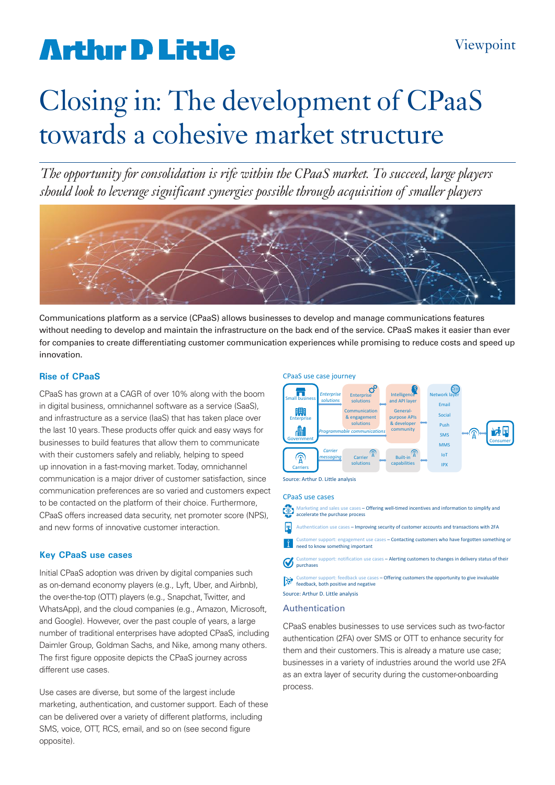# **Arthur D Little**

# Closing in: The development of CPaaS towards a cohesive market structure

*The opportunity for consolidation is rife within the CPaaS market. To succeed, large players should look to leverage significant synergies possible through acquisition of smaller players*



Communications platform as a service (CPaaS) allows businesses to develop and manage communications features without needing to develop and maintain the infrastructure on the back end of the service. CPaaS makes it easier than ever for companies to create differentiating customer communication experiences while promising to reduce costs and speed up innovation.

# **Rise of CPaaS**

CPaaS has grown at a CAGR of over 10% along with the boom in digital business, omnichannel software as a service (SaaS), and infrastructure as a service (IaaS) that has taken place over the last 10 years. These products offer quick and easy ways for businesses to build features that allow them to communicate with their customers safely and reliably, helping to speed up innovation in a fast-moving market. Today, omnichannel communication is a major driver of customer satisfaction, since communication preferences are so varied and customers expect to be contacted on the platform of their choice. Furthermore, CPaaS offers increased data security, net promoter score (NPS), and new forms of innovative customer interaction.

# **Key CPaaS use cases**

Initial CPaaS adoption was driven by digital companies such as on-demand economy players (e.g., Lyft, Uber, and Airbnb), the over-the-top (OTT) players (e.g., Snapchat, Twitter, and WhatsApp), and the cloud companies (e.g., Amazon, Microsoft, and Google). However, over the past couple of years, a large number of traditional enterprises have adopted CPaaS, including Daimler Group, Goldman Sachs, and Nike, among many others. The first figure opposite depicts the CPaaS journey across different use cases.

Use cases are diverse, but some of the largest include marketing, authentication, and customer support. Each of these can be delivered over a variety of different platforms, including SMS, voice, OTT, RCS, email, and so on (see second figure opposite).





Source: Arthur D. Little analysis

#### CPaaS use cases

Marketing and sales use cases – Offering well-timed incentives and information to simplify and  $\circ$ accelerate the purchase process  $\mathbb{R}$ 

Authentication use cases – Improving security of customer accounts and transactions with 2FA

r support: engagement use cases – Contactin<mark>g customers who have forgotten something or</mark> li. need to know something important

pport: notification use cases – Alerting customers to changes in delivery status of their **O** purchases

pport: feedback use cases – Offering customers the opportunity to give invaluable  $\sum_{i=1}^{n}$  Customer supports receive.

# Source: Arthur D. Little analysis

# Authentication

CPaaS enables businesses to use services such as two-factor authentication (2FA) over SMS or OTT to enhance security for them and their customers. This is already a mature use case; businesses in a variety of industries around the world use 2FA as an extra layer of security during the customer-onboarding process.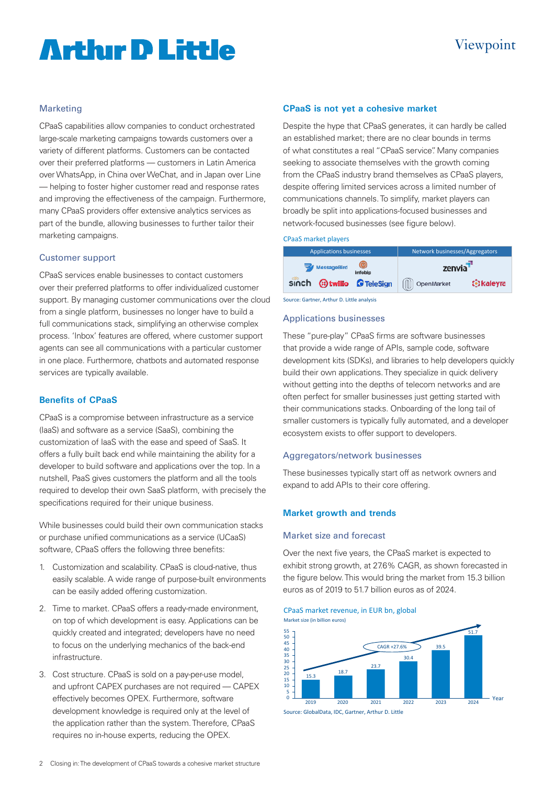# **Arthır D Little**

# Viewpoint

# Marketing

CPaaS capabilities allow companies to conduct orchestrated large-scale marketing campaigns towards customers over a variety of different platforms. Customers can be contacted over their preferred platforms — customers in Latin America over WhatsApp, in China over WeChat, and in Japan over Line — helping to foster higher customer read and response rates and improving the effectiveness of the campaign. Furthermore, many CPaaS providers offer extensive analytics services as part of the bundle, allowing businesses to further tailor their marketing campaigns.

## Customer support

CPaaS services enable businesses to contact customers over their preferred platforms to offer individualized customer support. By managing customer communications over the cloud from a single platform, businesses no longer have to build a full communications stack, simplifying an otherwise complex process. 'Inbox' features are offered, where customer support agents can see all communications with a particular customer in one place. Furthermore, chatbots and automated response services are typically available.

# **Benefits of CPaaS**

CPaaS is a compromise between infrastructure as a service (IaaS) and software as a service (SaaS), combining the customization of IaaS with the ease and speed of SaaS. It offers a fully built back end while maintaining the ability for a developer to build software and applications over the top. In a nutshell, PaaS gives customers the platform and all the tools required to develop their own SaaS platform, with precisely the specifications required for their unique business.

While businesses could build their own communication stacks or purchase unified communications as a service (UCaaS) software, CPaaS offers the following three benefits:

- 1. Customization and scalability. CPaaS is cloud-native, thus easily scalable. A wide range of purpose-built environments can be easily added offering customization.
- 2. Time to market. CPaaS offers a ready-made environment, on top of which development is easy. Applications can be quickly created and integrated; developers have no need to focus on the underlying mechanics of the back-end infrastructure.
- 3. Cost structure. CPaaS is sold on a pay-per-use model, and upfront CAPEX purchases are not required — CAPEX effectively becomes OPEX. Furthermore, software development knowledge is required only at the level of the application rather than the system. Therefore, CPaaS requires no in-house experts, reducing the OPEX.

# **CPaaS is not yet a cohesive market**

Despite the hype that CPaaS generates, it can hardly be called an established market; there are no clear bounds in terms of what constitutes a real "CPaaS service". Many companies seeking to associate themselves with the growth coming from the CPaaS industry brand themselves as CPaaS players, despite offering limited services across a limited number of communications channels. To simplify, market players can broadly be split into applications-focused businesses and network-focused businesses (see figure below).

### CPaaS market players

| <b>Applications businesses</b>             |  | Network businesses/Aggregators |                  |
|--------------------------------------------|--|--------------------------------|------------------|
| $\bullet$<br><b>WessageBird</b><br>infobip |  | zenvia                         |                  |
| sinch <b>at twilie O</b> TeleSign          |  | (III) OpenMarket               | <b>B</b> kaleyra |

Source: Gartner, Arthur D. Little analysis

### Applications businesses

These "pure-play" CPaaS firms are software businesses that provide a wide range of APIs, sample code, software development kits (SDKs), and libraries to help developers quickly build their own applications. They specialize in quick delivery without getting into the depths of telecom networks and are often perfect for smaller businesses just getting started with their communications stacks. Onboarding of the long tail of smaller customers is typically fully automated, and a developer ecosystem exists to offer support to developers.

## Aggregators/network businesses

These businesses typically start off as network owners and expand to add APIs to their core offering.

# **Market growth and trends**

## Market size and forecast

Over the next five years, the CPaaS market is expected to exhibit strong growth, at 27.6% CAGR, as shown forecasted in the figure below. This would bring the market from 15.3 billion euros as of 2019 to 51.7 billion euros as of 2024.

#### CPaaS market revenue, in EUR bn, global Market size (in billion euros)



Source: GlobalData, IDC, Gartner, Arthur D. Little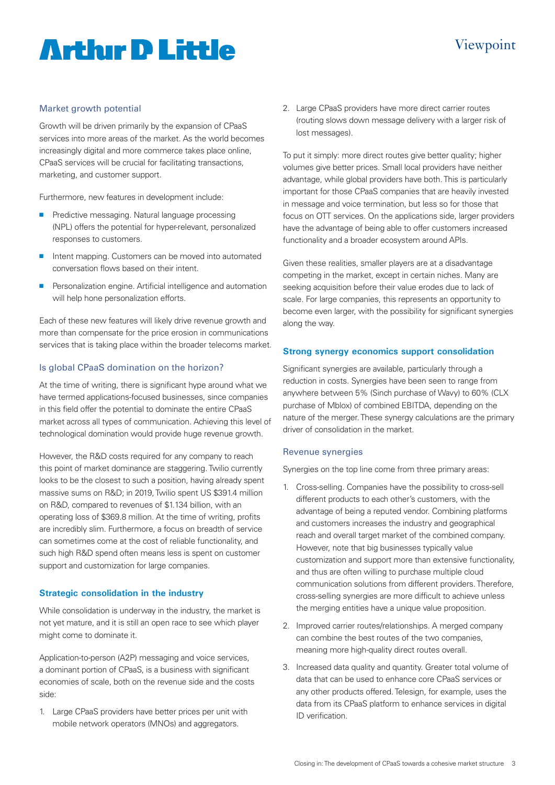# **Artlur D Little**

# Viewpoint

# Market growth potential

Growth will be driven primarily by the expansion of CPaaS services into more areas of the market. As the world becomes increasingly digital and more commerce takes place online, CPaaS services will be crucial for facilitating transactions, marketing, and customer support.

Furthermore, new features in development include:

- **n** Predictive messaging. Natural language processing (NPL) offers the potential for hyper-relevant, personalized responses to customers.
- n Intent mapping. Customers can be moved into automated conversation flows based on their intent.
- **n** Personalization engine. Artificial intelligence and automation will help hone personalization efforts.

Each of these new features will likely drive revenue growth and more than compensate for the price erosion in communications services that is taking place within the broader telecoms market.

# Is global CPaaS domination on the horizon?

At the time of writing, there is significant hype around what we have termed applications-focused businesses, since companies in this field offer the potential to dominate the entire CPaaS market across all types of communication. Achieving this level of technological domination would provide huge revenue growth.

However, the R&D costs required for any company to reach this point of market dominance are staggering. Twilio currently looks to be the closest to such a position, having already spent massive sums on R&D; in 2019, Twilio spent US \$391.4 million on R&D, compared to revenues of \$1.134 billion, with an operating loss of \$369.8 million. At the time of writing, profits are incredibly slim. Furthermore, a focus on breadth of service can sometimes come at the cost of reliable functionality, and such high R&D spend often means less is spent on customer support and customization for large companies.

# **Strategic consolidation in the industry**

While consolidation is underway in the industry, the market is not yet mature, and it is still an open race to see which player might come to dominate it.

Application-to-person (A2P) messaging and voice services, a dominant portion of CPaaS, is a business with significant economies of scale, both on the revenue side and the costs side:

1. Large CPaaS providers have better prices per unit with mobile network operators (MNOs) and aggregators.

2. Large CPaaS providers have more direct carrier routes (routing slows down message delivery with a larger risk of lost messages).

To put it simply: more direct routes give better quality; higher volumes give better prices. Small local providers have neither advantage, while global providers have both. This is particularly important for those CPaaS companies that are heavily invested in message and voice termination, but less so for those that focus on OTT services. On the applications side, larger providers have the advantage of being able to offer customers increased functionality and a broader ecosystem around APIs.

Given these realities, smaller players are at a disadvantage competing in the market, except in certain niches. Many are seeking acquisition before their value erodes due to lack of scale. For large companies, this represents an opportunity to become even larger, with the possibility for significant synergies along the way.

# **Strong synergy economics support consolidation**

Significant synergies are available, particularly through a reduction in costs. Synergies have been seen to range from anywhere between 5% (Sinch purchase of Wavy) to 60% (CLX purchase of Mblox) of combined EBITDA, depending on the nature of the merger. These synergy calculations are the primary driver of consolidation in the market.

## Revenue synergies

Synergies on the top line come from three primary areas:

- 1. Cross-selling. Companies have the possibility to cross-sell different products to each other's customers, with the advantage of being a reputed vendor. Combining platforms and customers increases the industry and geographical reach and overall target market of the combined company. However, note that big businesses typically value customization and support more than extensive functionality, and thus are often willing to purchase multiple cloud communication solutions from different providers. Therefore, cross-selling synergies are more difficult to achieve unless the merging entities have a unique value proposition.
- 2. Improved carrier routes/relationships. A merged company can combine the best routes of the two companies, meaning more high-quality direct routes overall.
- 3. Increased data quality and quantity. Greater total volume of data that can be used to enhance core CPaaS services or any other products offered. Telesign, for example, uses the data from its CPaaS platform to enhance services in digital ID verification.